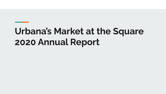# **Urbana's Market at the Square 2020 Annual Report**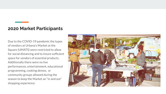#### **2020 Market Participants**

Due to the COVID-19 pandemic the types of vendors at Urbana's Market at the Square (UMATS) were restricted to allow for social distancing and to insure sufficient space for vendors of essential products. Additionally there were no live performances, entertainment, educational programming, cooking demos, or community groups allowed during the season to keep the Market an "in and out" shopping experience.

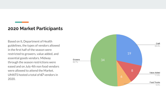#### **2020 Market Participants**

Based on IL Department of Health guidelines, the types of vendors allowed in the first half of the season were restricted to growers, value added, and essential goods vendors. Midway through the season restrictions were eased and on July 4th non food vendors were allowed to attend the Market. UMATS hosted a total of **67** vendors in 2020.

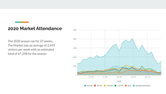### **2020 Market Attendance**

The 2020 season ran for 27 weeks. The Market saw an average of 2,493 visitors per week with an estimated total of 67,298 for the season.

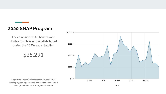### **2020 SNAP Program**

The combined SNAP benefits and double match incentives distributed during the 2020 season totalled

\$25,291

Support for Urbana's Market at the Square's SNAP Match program is generously provided by Farm Credit Illinois, Experimental Station, and the USDA.

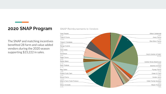### **2020 SNAP Program**

The SNAP and matching incentives benefited 28 farm and value added vendors during the 2020 season supporting \$23,222 in sales.

#### **SNAP Reimbursements to Vendors**

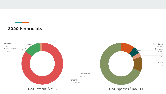# **2020 Financials**